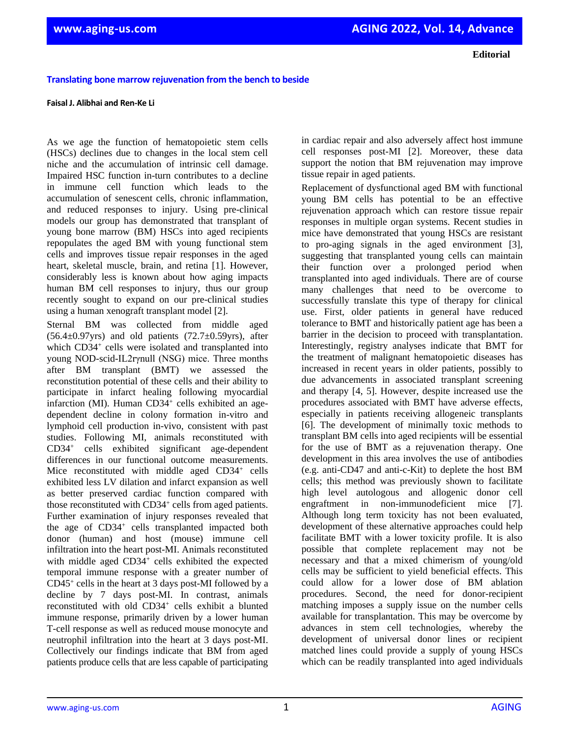**Editorial**

## **Translating bone marrow rejuvenation from the bench to beside**

## **Faisal J. Alibhai and Ren-Ke Li**

As we age the function of hematopoietic stem cells (HSCs) declines due to changes in the local stem cell niche and the accumulation of intrinsic cell damage. Impaired HSC function in-turn contributes to a decline in immune cell function which leads to the accumulation of senescent cells, chronic inflammation, and reduced responses to injury. Using pre-clinical models our group has demonstrated that transplant of young bone marrow (BM) HSCs into aged recipients repopulates the aged BM with young functional stem cells and improves tissue repair responses in the aged heart, skeletal muscle, brain, and retina [1]. However, considerably less is known about how aging impacts human BM cell responses to injury, thus our group recently sought to expand on our pre-clinical studies using a human xenograft transplant model [2].

Sternal BM was collected from middle aged  $(56.4\pm0.97)$ yrs) and old patients  $(72.7\pm0.59)$ yrs), after which CD34<sup>+</sup> cells were isolated and transplanted into young NOD-scid-IL2rγnull (NSG) mice. Three months after BM transplant (BMT) we assessed the reconstitution potential of these cells and their ability to participate in infarct healing following myocardial infarction (MI). Human CD34<sup>+</sup> cells exhibited an agedependent decline in colony formation in-vitro and lymphoid cell production in-vivo, consistent with past studies. Following MI, animals reconstituted with CD34<sup>+</sup> cells exhibited significant age-dependent differences in our functional outcome measurements. Mice reconstituted with middle aged CD34<sup>+</sup> cells exhibited less LV dilation and infarct expansion as well as better preserved cardiac function compared with those reconstituted with CD34<sup>+</sup> cells from aged patients. Further examination of injury responses revealed that the age of CD34<sup>+</sup> cells transplanted impacted both donor (human) and host (mouse) immune cell infiltration into the heart post-MI. Animals reconstituted with middle aged CD34<sup>+</sup> cells exhibited the expected temporal immune response with a greater number of CD45<sup>+</sup> cells in the heart at 3 days post-MI followed by a decline by 7 days post-MI. In contrast, animals reconstituted with old CD34<sup>+</sup> cells exhibit a blunted immune response, primarily driven by a lower human T-cell response as well as reduced mouse monocyte and neutrophil infiltration into the heart at 3 days post-MI. Collectively our findings indicate that BM from aged patients produce cells that are less capable of participating

in cardiac repair and also adversely affect host immune cell responses post-MI [2]. Moreover, these data support the notion that BM rejuvenation may improve tissue repair in aged patients.

Replacement of dysfunctional aged BM with functional young BM cells has potential to be an effective rejuvenation approach which can restore tissue repair responses in multiple organ systems. Recent studies in mice have demonstrated that young HSCs are resistant to pro-aging signals in the aged environment [3], suggesting that transplanted young cells can maintain their function over a prolonged period when transplanted into aged individuals. There are of course many challenges that need to be overcome to successfully translate this type of therapy for clinical use. First, older patients in general have reduced tolerance to BMT and historically patient age has been a barrier in the decision to proceed with transplantation. Interestingly, registry analyses indicate that BMT for the treatment of malignant hematopoietic diseases has increased in recent years in older patients, possibly to due advancements in associated transplant screening and therapy [4, 5]. However, despite increased use the procedures associated with BMT have adverse effects, especially in patients receiving allogeneic transplants [6]. The development of minimally toxic methods to transplant BM cells into aged recipients will be essential for the use of BMT as a rejuvenation therapy. One development in this area involves the use of antibodies (e.g. anti-CD47 and anti-c-Kit) to deplete the host BM cells; this method was previously shown to facilitate high level autologous and allogenic donor cell engraftment in non-immunodeficient mice [7]. Although long term toxicity has not been evaluated, development of these alternative approaches could help facilitate BMT with a lower toxicity profile. It is also possible that complete replacement may not be necessary and that a mixed chimerism of young/old cells may be sufficient to yield beneficial effects. This could allow for a lower dose of BM ablation procedures. Second, the need for donor-recipient matching imposes a supply issue on the number cells available for transplantation. This may be overcome by advances in stem cell technologies, whereby the development of universal donor lines or recipient matched lines could provide a supply of young HSCs which can be readily transplanted into aged individuals